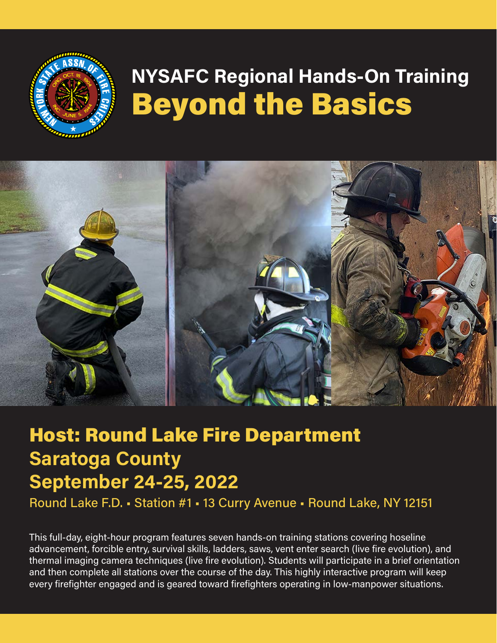

# **NYSAFC Regional Hands-On Training**  Beyond the Basics



# Host: Round Lake Fire Department **Saratoga County September 24-25, 2022**

Round Lake F.D. • Station #1 • 13 Curry Avenue • Round Lake, NY 12151

This full-day, eight-hour program features seven hands-on training stations covering hoseline advancement, forcible entry, survival skills, ladders, saws, vent enter search (live fire evolution), and thermal imaging camera techniques (live fire evolution). Students will participate in a brief orientation and then complete all stations over the course of the day. This highly interactive program will keep every firefighter engaged and is geared toward firefighters operating in low-manpower situations.